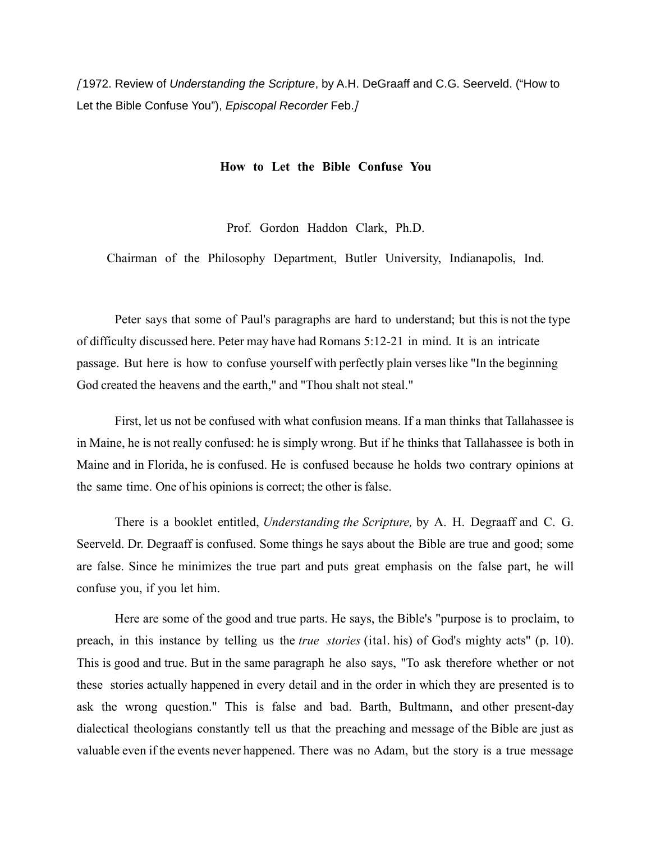*[*1972. Review of *Understanding the Scripture*, by A.H. DeGraaff and C.G. Seerveld. ("How to Let the Bible Confuse You"), *Episcopal Recorder* Feb.*]*

## **How to Let the Bible Confuse You**

Prof. Gordon Haddon Clark, Ph.D.

Chairman of the Philosophy Department, Butler University, Indianapolis, Ind.

Peter says that some of Paul's paragraphs are hard to understand; but this is not the type of difficulty discussed here. Peter may have had Romans 5:12-21 in mind. It is an intricate passage. But here is how to confuse yourself with perfectly plain verses like "In the beginning God created the heavens and the earth," and "Thou shalt not steal."

First, let us not be confused with what confusion means. If a man thinks that Tallahassee is in Maine, he is not really confused: he is simply wrong. But if he thinks that Tallahassee is both in Maine and in Florida, he is confused. He is confused because he holds two contrary opinions at the same time. One of his opinions is correct; the other is false.

There is a booklet entitled, *Understanding the Scripture,* by A. H. Degraaff and C. G. Seerveld. Dr. Degraaff is confused. Some things he says about the Bible are true and good; some are false. Since he minimizes the true part and puts great emphasis on the false part, he will confuse you, if you let him.

Here are some of the good and true parts. He says, the Bible's "purpose is to proclaim, to preach, in this instance by telling us the *true stories* (ital. his) of God's mighty acts" (p. 10). This is good and true. But in the same paragraph he also says, "To ask therefore whether or not these stories actually happened in every detail and in the order in which they are presented is to ask the wrong question." This is false and bad. Barth, Bultmann, and other present-day dialectical theologians constantly tell us that the preaching and message of the Bible are just as valuable even if the events never happened. There was no Adam, but the story is a true message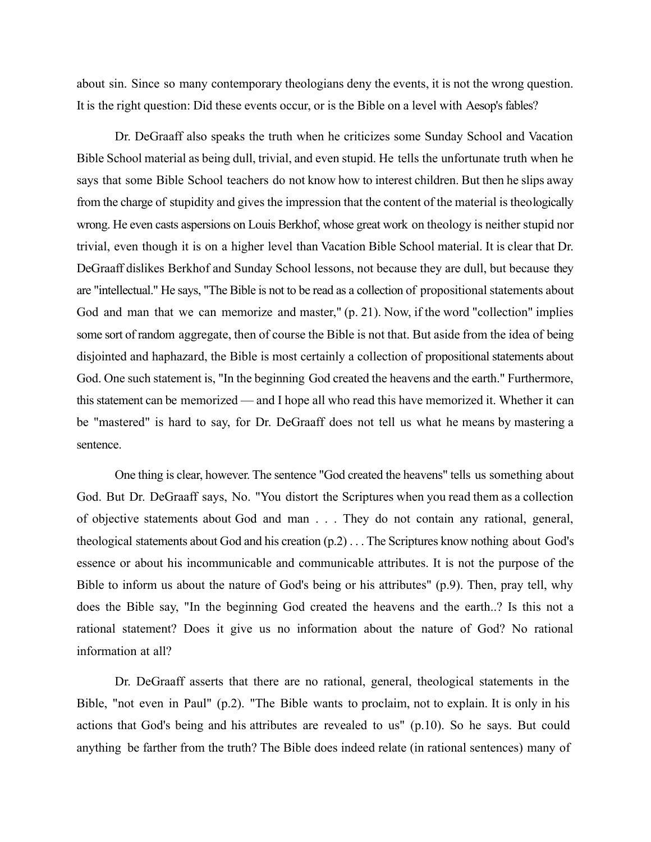about sin. Since so many contemporary theologians deny the events, it is not the wrong question. It is the right question: Did these events occur, or is the Bible on a level with Aesop's fables?

Dr. DeGraaff also speaks the truth when he criticizes some Sunday School and Vacation Bible School material as being dull, trivial, and even stupid. He tells the unfortunate truth when he says that some Bible School teachers do not know how to interest children. But then he slips away from the charge of stupidity and gives the impression that the content of the material is theologically wrong. He even casts aspersions on Louis Berkhof, whose great work on theology is neither stupid nor trivial, even though it is on a higher level than Vacation Bible School material. It is clear that Dr. DeGraaff dislikes Berkhof and Sunday School lessons, not because they are dull, but because they are "intellectual." He says, "The Bible is not to be read as a collection of propositional statements about God and man that we can memorize and master," (p. 21). Now, if the word "collection" implies some sort of random aggregate, then of course the Bible is not that. But aside from the idea of being disjointed and haphazard, the Bible is most certainly a collection of propositional statements about God. One such statement is, "In the beginning God created the heavens and the earth." Furthermore, this statement can be memorized — and I hope all who read this have memorized it. Whether it can be "mastered" is hard to say, for Dr. DeGraaff does not tell us what he means by mastering a sentence.

One thing is clear, however. The sentence "God created the heavens" tells us something about God. But Dr. DeGraaff says, No. "You distort the Scriptures when you read them as a collection of objective statements about God and man . . . They do not contain any rational, general, theological statements about God and his creation (p.2) . . . The Scriptures know nothing about God's essence or about his incommunicable and communicable attributes. It is not the purpose of the Bible to inform us about the nature of God's being or his attributes" (p.9). Then, pray tell, why does the Bible say, "In the beginning God created the heavens and the earth..? Is this not a rational statement? Does it give us no information about the nature of God? No rational information at all?

Dr. DeGraaff asserts that there are no rational, general, theological statements in the Bible, "not even in Paul" (p.2). "The Bible wants to proclaim, not to explain. It is only in his actions that God's being and his attributes are revealed to us" (p.10). So he says. But could anything be farther from the truth? The Bible does indeed relate (in rational sentences) many of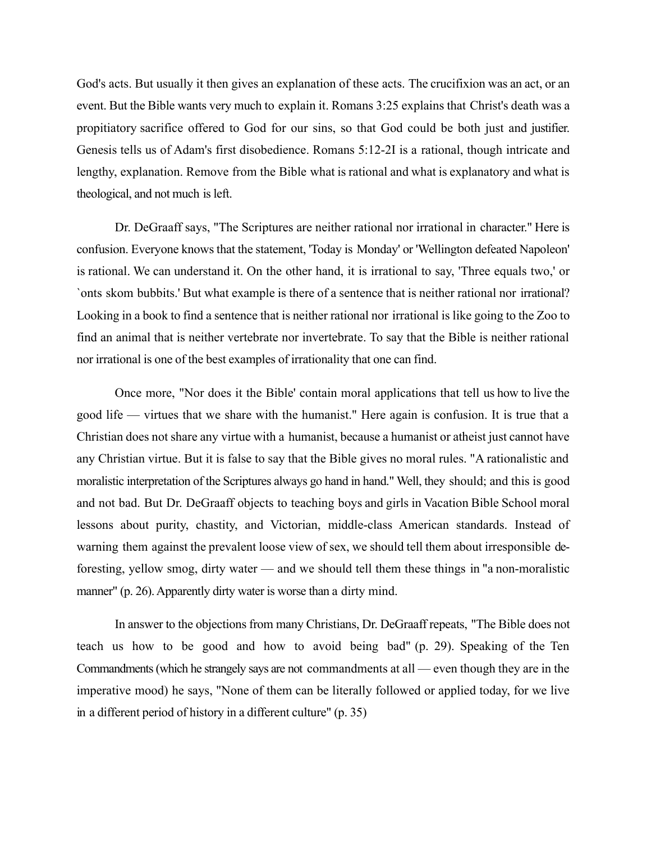God's acts. But usually it then gives an explanation of these acts. The crucifixion was an act, or an event. But the Bible wants very much to explain it. Romans 3:25 explains that Christ's death was a propitiatory sacrifice offered to God for our sins, so that God could be both just and justifier. Genesis tells us of Adam's first disobedience. Romans 5:12-2I is a rational, though intricate and lengthy, explanation. Remove from the Bible what is rational and what is explanatory and what is theological, and not much is left.

Dr. DeGraaff says, "The Scriptures are neither rational nor irrational in character." Here is confusion. Everyone knows that the statement, 'Today is Monday' or 'Wellington defeated Napoleon' is rational. We can understand it. On the other hand, it is irrational to say, 'Three equals two,' or `onts skom bubbits.' But what example is there of a sentence that is neither rational nor irrational? Looking in a book to find a sentence that is neither rational nor irrational is like going to the Zoo to find an animal that is neither vertebrate nor invertebrate. To say that the Bible is neither rational nor irrational is one of the best examples of irrationality that one can find.

Once more, "Nor does it the Bible' contain moral applications that tell us how to live the good life — virtues that we share with the humanist." Here again is confusion. It is true that a Christian does not share any virtue with a humanist, because a humanist or atheist just cannot have any Christian virtue. But it is false to say that the Bible gives no moral rules. "A rationalistic and moralistic interpretation of the Scriptures always go hand in hand." Well, they should; and this is good and not bad. But Dr. DeGraaff objects to teaching boys and girls in Vacation Bible School moral lessons about purity, chastity, and Victorian, middle-class American standards. Instead of warning them against the prevalent loose view of sex, we should tell them about irresponsible deforesting, yellow smog, dirty water — and we should tell them these things in "a non-moralistic manner" (p. 26). Apparently dirty water is worse than a dirty mind.

In answer to the objections from many Christians, Dr. DeGraaff repeats, "The Bible does not teach us how to be good and how to avoid being bad" (p. 29). Speaking of the Ten Commandments (which he strangely says are not commandments at all — even though they are in the imperative mood) he says, "None of them can be literally followed or applied today, for we live in a different period of history in a different culture" (p. 35)